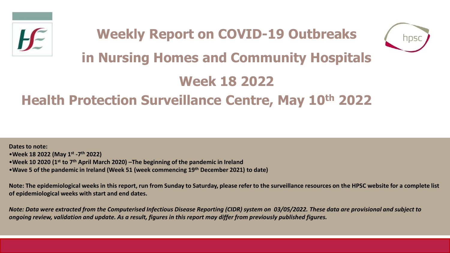

# **Weekly Report on COVID-19 Outbreaks in Nursing Homes and Community Hospitals**



# **Week 18 2022**

# **Health Protection Surveillance Centre, May 10th 2022**

**Dates to note:** •**Week 18 2022 (May 1st -7 th 2022)** •**Week 10 2020 (1st to 7th April March 2020) –The beginning of the pandemic in Ireland**  •**Wave 5 of the pandemic in Ireland (Week 51 (week commencing 19th December 2021) to date)**

**Note: The epidemiological weeks in this report, run from Sunday to Saturday, please refer to the surveillance resources on the HPSC website for a complete list of epidemiological weeks with start and end dates.**

*Note: Data were extracted from the Computerised Infectious Disease Reporting (CIDR) system on 03/05/2022. These data are provisional and subject to ongoing review, validation and update. As a result, figures in this report may differ from previously published figures.*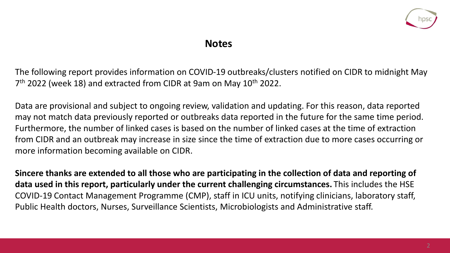

#### **Notes**

The following report provides information on COVID-19 outbreaks/clusters notified on CIDR to midnight May 7<sup>th</sup> 2022 (week 18) and extracted from CIDR at 9am on May 10<sup>th</sup> 2022.

Data are provisional and subject to ongoing review, validation and updating. For this reason, data reported may not match data previously reported or outbreaks data reported in the future for the same time period. Furthermore, the number of linked cases is based on the number of linked cases at the time of extraction from CIDR and an outbreak may increase in size since the time of extraction due to more cases occurring or more information becoming available on CIDR.

**Sincere thanks are extended to all those who are participating in the collection of data and reporting of data used in this report, particularly under the current challenging circumstances.** This includes the HSE COVID-19 Contact Management Programme (CMP), staff in ICU units, notifying clinicians, laboratory staff, Public Health doctors, Nurses, Surveillance Scientists, Microbiologists and Administrative staff.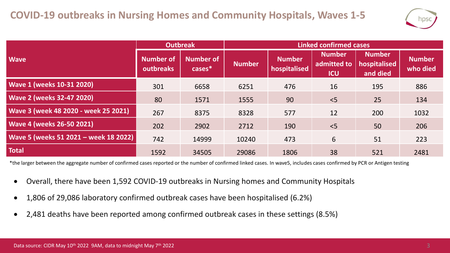

|                                       | <b>Outbreak</b>               |                               | <b>Linked confirmed cases</b> |                               |                                            |                                           |                           |  |
|---------------------------------------|-------------------------------|-------------------------------|-------------------------------|-------------------------------|--------------------------------------------|-------------------------------------------|---------------------------|--|
| <b>Wave</b>                           | <b>Number of</b><br>outbreaks | <b>Number of</b><br>$cases^*$ | <b>Number</b>                 | <b>Number</b><br>hospitalised | <b>Number</b><br>admitted to<br><b>ICU</b> | <b>Number</b><br>hospitalised<br>and died | <b>Number</b><br>who died |  |
| <b>Wave 1 (weeks 10-31 2020)</b>      | 301                           | 6658                          | 6251                          | 476                           | 16                                         | 195                                       | 886                       |  |
| <b>Wave 2 (weeks 32-47 2020)</b>      | 80                            | 1571                          | 1555                          | 90                            | < 5                                        | 25                                        | 134                       |  |
| Wave 3 (week 48 2020 - week 25 2021)  | 267                           | 8375                          | 8328                          | 577                           | 12                                         | 200                                       | 1032                      |  |
| <b>Wave 4 (weeks 26-50 2021)</b>      | 202                           | 2902                          | 2712                          | 190                           | $<$ 5                                      | 50                                        | 206                       |  |
| Wave 5 (weeks 51 2021 - week 18 2022) | 742                           | 14999                         | 10240                         | 473                           | 6                                          | 51                                        | 223                       |  |
| <b>Total</b>                          | 1592                          | 34505                         | 29086                         | 1806                          | 38                                         | 521                                       | 2481                      |  |

\*the larger between the aggregate number of confirmed cases reported or the number of confirmed linked cases. In wave5, includes cases confirmed by PCR or Antigen testing

- Overall, there have been 1,592 COVID-19 outbreaks in Nursing homes and Community Hospitals
- 1,806 of 29,086 laboratory confirmed outbreak cases have been hospitalised (6.2%)
- 2,481 deaths have been reported among confirmed outbreak cases in these settings (8.5%)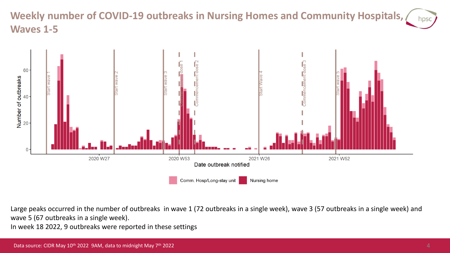# **Weekly number of COVID-19 outbreaks in Nursing Homes and Community Hospitals, Waves 1-5**



Large peaks occurred in the number of outbreaks in wave 1 (72 outbreaks in a single week), wave 3 (57 outbreaks in a single week) and wave 5 (67 outbreaks in a single week).

In week 18 2022, 9 outbreaks were reported in these settings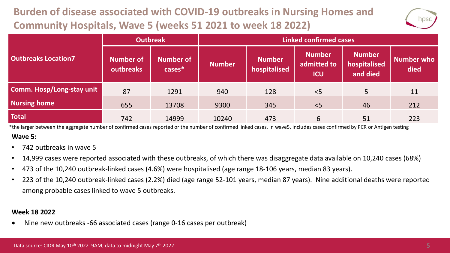# **Burden of disease associated with COVID-19 outbreaks in Nursing Homes and Community Hospitals, Wave 5 (weeks 51 2021 to week 18 2022)**



|                            | <b>Outbreak</b>               |                               | <b>Linked confirmed cases</b> |                               |                                            |                                           |                           |  |
|----------------------------|-------------------------------|-------------------------------|-------------------------------|-------------------------------|--------------------------------------------|-------------------------------------------|---------------------------|--|
| <b>Outbreaks Location7</b> | <b>Number of</b><br>outbreaks | <b>Number of</b><br>$cases^*$ | <b>Number</b>                 | <b>Number</b><br>hospitalised | <b>Number</b><br>admitted to<br><b>ICU</b> | <b>Number</b><br>hospitalised<br>and died | <b>Number who</b><br>died |  |
| Comm. Hosp/Long-stay unit  | 87                            | 1291                          | 940                           | 128                           | < 5                                        | 5                                         | 11                        |  |
| <b>Nursing home</b>        | 655                           | 13708                         | 9300                          | 345                           | < 5                                        | 46                                        | 212                       |  |
| <b>Total</b>               | 742                           | 14999                         | 10240                         | 473                           | 6                                          | 51                                        | 223                       |  |

**Wave 5:** \*the larger between the aggregate number of confirmed cases reported or the number of confirmed linked cases. In wave5, includes cases confirmed by PCR or Antigen testing

- 742 outbreaks in wave 5
- 14,999 cases were reported associated with these outbreaks, of which there was disaggregate data available on 10,240 cases (68%)
- 473 of the 10,240 outbreak-linked cases (4.6%) were hospitalised (age range 18-106 years, median 83 years).
- 223 of the 10,240 outbreak-linked cases (2.2%) died (age range 52-101 years, median 87 years). Nine additional deaths were reported among probable cases linked to wave 5 outbreaks.

#### **Week 18 2022**

• Nine new outbreaks -66 associated cases (range 0-16 cases per outbreak)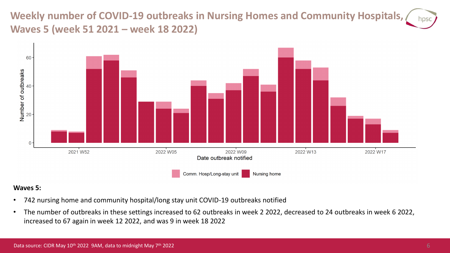**Weekly number of COVID-19 outbreaks in Nursing Homes and Community Hospitals, Waves 5 (week 51 2021 – week 18 2022)**



#### **Waves 5:**

- 742 nursing home and community hospital/long stay unit COVID-19 outbreaks notified
- The number of outbreaks in these settings increased to 62 outbreaks in week 2 2022, decreased to 24 outbreaks in week 6 2022, increased to 67 again in week 12 2022, and was 9 in week 18 2022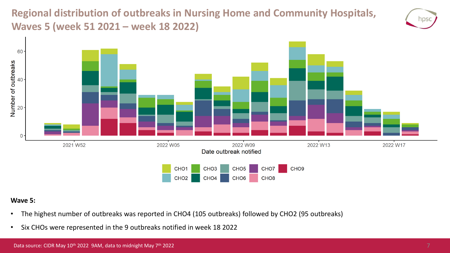**Regional distribution of outbreaks in Nursing Home and Community Hospitals, Waves 5 (week 51 2021 – week 18 2022)**





#### **Wave 5:**

- The highest number of outbreaks was reported in CHO4 (105 outbreaks) followed by CHO2 (95 outbreaks)
- Six CHOs were represented in the 9 outbreaks notified in week 18 2022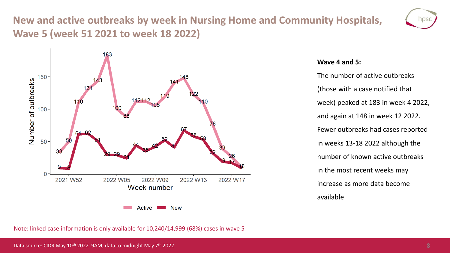# **New and active outbreaks by week in Nursing Home and Community Hospitals, Wave 5 (week 51 2021 to week 18 2022)**





#### **Wave 4 and 5:**

The number of active outbreaks (those with a case notified that week) peaked at 183 in week 4 2022, and again at 148 in week 12 2022. Fewer outbreaks had cases reported in weeks 13-18 2022 although the number of known active outbreaks in the most recent weeks may increase as more data become available

Note: linked case information is only available for 10,240/14,999 (68%) cases in wave 5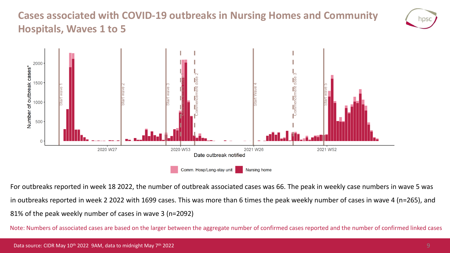# **Cases associated with COVID-19 outbreaks in Nursing Homes and Community Hospitals, Waves 1 to 5**





For outbreaks reported in week 18 2022, the number of outbreak associated cases was 66. The peak in weekly case numbers in wave 5 was in outbreaks reported in week 2 2022 with 1699 cases. This was more than 6 times the peak weekly number of cases in wave 4 (n=265), and 81% of the peak weekly number of cases in wave 3 (n=2092)

Note: Numbers of associated cases are based on the larger between the aggregate number of confirmed cases reported and the number of confirmed linked cases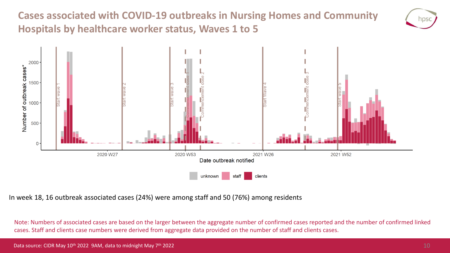**Cases associated with COVID-19 outbreaks in Nursing Homes and Community Hospitals by healthcare worker status, Waves 1 to 5**





In week 18, 16 outbreak associated cases (24%) were among staff and 50 (76%) among residents

Note: Numbers of associated cases are based on the larger between the aggregate number of confirmed cases reported and the number of confirmed linked cases. Staff and clients case numbers were derived from aggregate data provided on the number of staff and clients cases.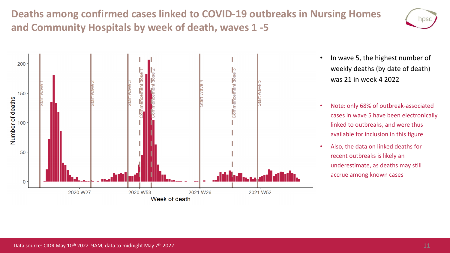**Deaths among confirmed cases linked to COVID-19 outbreaks in Nursing Homes and Community Hospitals by week of death, waves 1 -5**





- In wave 5, the highest number of weekly deaths (by date of death) was 21 in week 4 2022
- Note: only 68% of outbreak-associated cases in wave 5 have been electronically linked to outbreaks, and were thus available for inclusion in this figure
- Also, the data on linked deaths for recent outbreaks is likely an underestimate, as deaths may still accrue among known cases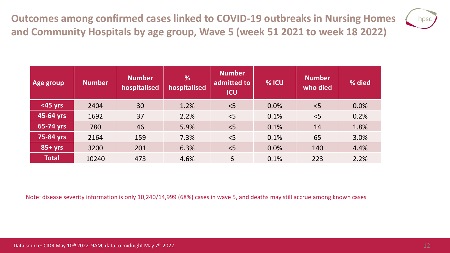**Outcomes among confirmed cases linked to COVID-19 outbreaks in Nursing Homes and Community Hospitals by age group, Wave 5 (week 51 2021 to week 18 2022)**



| Age group    | <b>Number</b> | <b>Number</b><br>hospitalised | %<br>hospitalised | <b>Number</b><br>admitted to<br><b>ICU</b> | % ICU | <b>Number</b><br>who died | % died |
|--------------|---------------|-------------------------------|-------------------|--------------------------------------------|-------|---------------------------|--------|
| $<$ 45 yrs   | 2404          | 30                            | 1.2%              | < 5                                        | 0.0%  | < 5                       | 0.0%   |
| 45-64 yrs    | 1692          | 37                            | 2.2%              | < 5                                        | 0.1%  | < 5                       | 0.2%   |
| 65-74 yrs    | 780           | 46                            | 5.9%              | < 5                                        | 0.1%  | 14                        | 1.8%   |
| 75-84 yrs    | 2164          | 159                           | 7.3%              | < 5                                        | 0.1%  | 65                        | 3.0%   |
| $85+yrs$     | 3200          | 201                           | 6.3%              | < 5                                        | 0.0%  | 140                       | 4.4%   |
| <b>Total</b> | 10240         | 473                           | 4.6%              | 6                                          | 0.1%  | 223                       | 2.2%   |

Note: disease severity information is only 10,240/14,999 (68%) cases in wave 5, and deaths may still accrue among known cases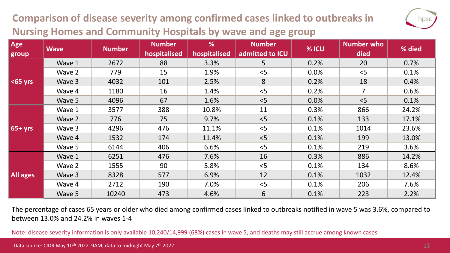# **Comparison of disease severity among confirmed cases linked to outbreaks in Nursing Homes and Community Hospitals by wave and age group**

| e<br>п |  |
|--------|--|
|        |  |

| Age<br>group | <b>Wave</b> | <b>Number</b> | <b>Number</b><br>hospitalised | %<br>hospitalised | <b>Number</b><br>admitted to ICU | % ICU | <b>Number who</b><br>died | % died |
|--------------|-------------|---------------|-------------------------------|-------------------|----------------------------------|-------|---------------------------|--------|
|              | Wave 1      | 2672          | 88                            | 3.3%              | 5                                | 0.2%  | 20                        | 0.7%   |
|              | Wave 2      | 779           | 15                            | 1.9%              | < 5                              | 0.0%  | < 5                       | 0.1%   |
| $65$ yrs     | Wave 3      | 4032          | 101                           | 2.5%              | 8                                | 0.2%  | 18                        | 0.4%   |
|              | Wave 4      | 1180          | 16                            | 1.4%              | < 5                              | 0.2%  | $\overline{7}$            | 0.6%   |
|              | Wave 5      | 4096          | 67                            | 1.6%              | < 5                              | 0.0%  | < 5                       | 0.1%   |
|              | Wave 1      | 3577          | 388                           | 10.8%             | 11                               | 0.3%  | 866                       | 24.2%  |
|              | Wave 2      | 776           | 75                            | 9.7%              | < 5                              | 0.1%  | 133                       | 17.1%  |
| $65 + yrs$   | Wave 3      | 4296          | 476                           | 11.1%             | < 5                              | 0.1%  | 1014                      | 23.6%  |
|              | Wave 4      | 1532          | 174                           | 11.4%             | < 5                              | 0.1%  | 199                       | 13.0%  |
|              | Wave 5      | 6144          | 406                           | 6.6%              | < 5                              | 0.1%  | 219                       | 3.6%   |
| All ages     | Wave 1      | 6251          | 476                           | 7.6%              | 16                               | 0.3%  | 886                       | 14.2%  |
|              | Wave 2      | 1555          | 90                            | 5.8%              | < 5                              | 0.1%  | 134                       | 8.6%   |
|              | Wave 3      | 8328          | 577                           | 6.9%              | 12                               | 0.1%  | 1032                      | 12.4%  |
|              | Wave 4      | 2712          | 190                           | 7.0%              | < 5                              | 0.1%  | 206                       | 7.6%   |
|              | Wave 5      | 10240         | 473                           | 4.6%              | 6                                | 0.1%  | 223                       | 2.2%   |

The percentage of cases 65 years or older who died among confirmed cases linked to outbreaks notified in wave 5 was 3.6%, compared to between 13.0% and 24.2% in waves 1-4

Note: disease severity information is only available 10,240/14,999 (68%) cases in wave 5, and deaths may still accrue among known cases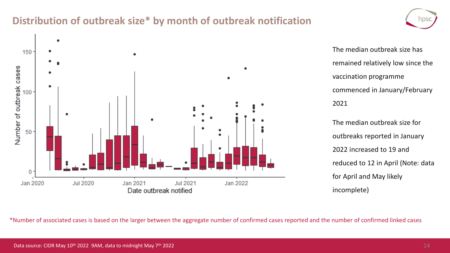### **Distribution of outbreak size\* by month of outbreak notification**



The median outbreak size has remained relatively low since the vaccination programme commenced in January/February 2021 The median outbreak size for

outbreaks reported in January 2022 increased to 19 and reduced to 12 in April (Note: data for April and May likely incomplete)

\*Number of associated cases is based on the larger between the aggregate number of confirmed cases reported and the number of confirmed linked cases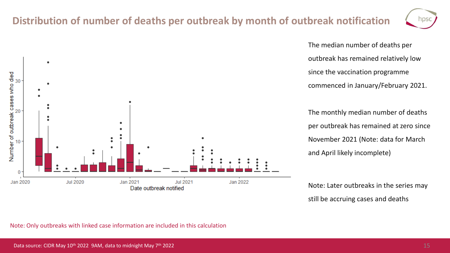## **Distribution of number of deaths per outbreak by month of outbreak notification**

Jul 2021

Date outbreak notified

Jan 2022



The median number of deaths per outbreak has remained relatively low since the vaccination programme commenced in January/February 2021.

The monthly median number of deaths per outbreak has remained at zero since November 2021 (Note: data for March and April likely incomplete)

Note: Later outbreaks in the series may still be accruing cases and deaths



Jan 2021

**Jul 2020** 

Number of outbreak cases who died<br>asses who died

10

0

Jan 2020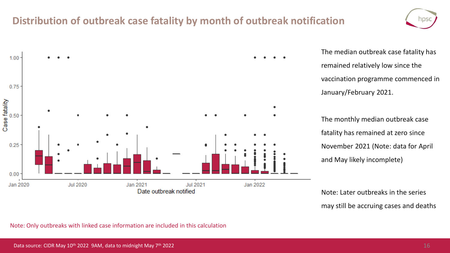### **Distribution of outbreak case fatality by month of outbreak notification**





The median outbreak case fatality has remained relatively low since the vaccination programme commenced in January/February 2021.

The monthly median outbreak case fatality has remained at zero since November 2021 (Note: data for April and May likely incomplete)

Note: Later outbreaks in the series may still be accruing cases and deaths

Note: Only outbreaks with linked case information are included in this calculation